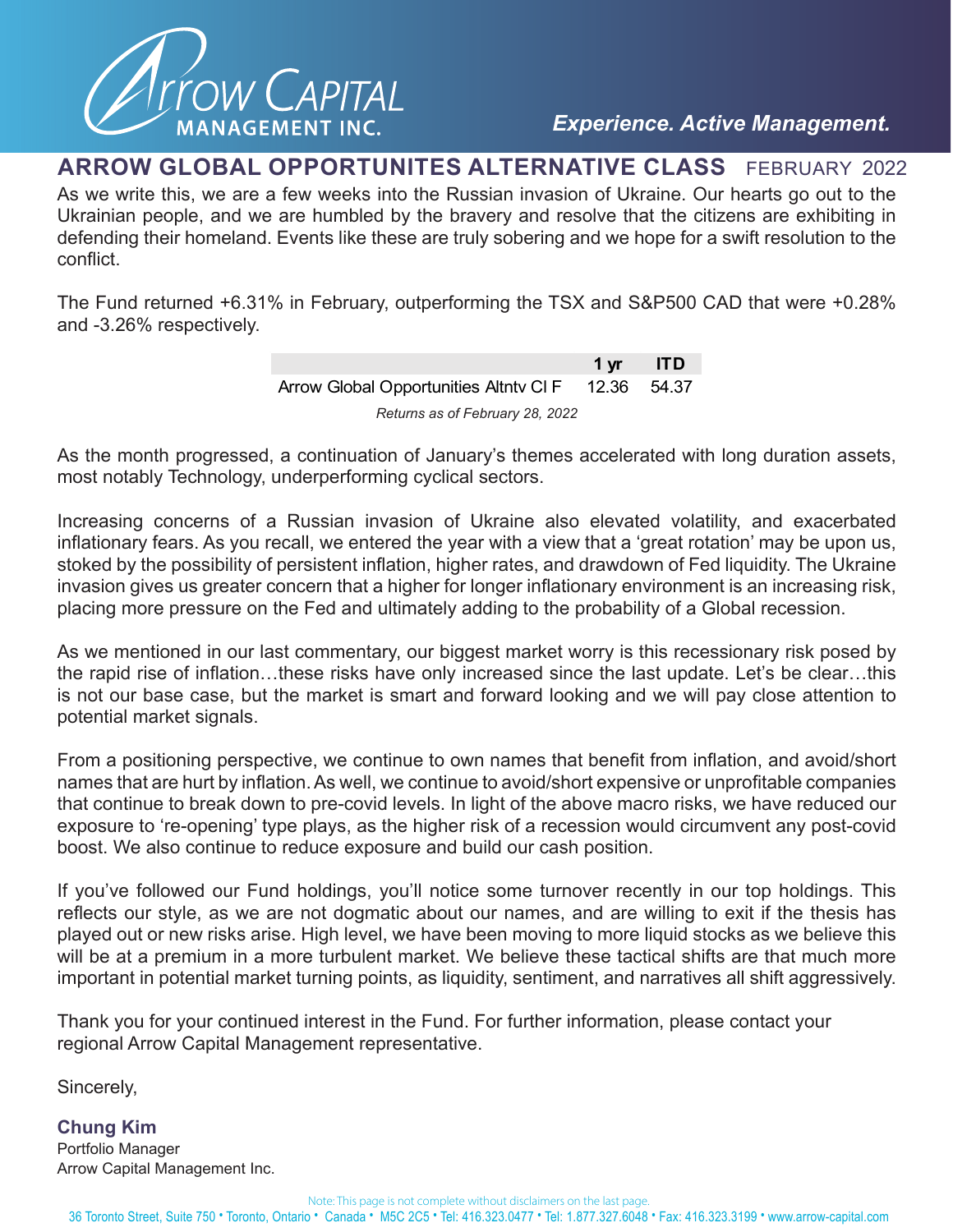

## **ARROW GLOBAL OPPORTUNITES ALTERNATIVE CLASS** FEBRUARY 2022

As we write this, we are a few weeks into the Russian invasion of Ukraine. Our hearts go out to the Ukrainian people, and we are humbled by the bravery and resolve that the citizens are exhibiting in defending their homeland. Events like these are truly sobering and we hope for a swift resolution to the conflict.

The Fund returned +6.31% in February, outperforming the TSX and S&P500 CAD that were +0.28% and -3.26% respectively.

|                                                   | 1 yr ITD |  |
|---------------------------------------------------|----------|--|
| Arrow Global Opportunities Altnty CIF 12.36 54.37 |          |  |
| Returns as of February 28, 2022                   |          |  |

As the month progressed, a continuation of January's themes accelerated with long duration assets, most notably Technology, underperforming cyclical sectors.

Increasing concerns of a Russian invasion of Ukraine also elevated volatility, and exacerbated inflationary fears. As you recall, we entered the year with a view that a 'great rotation' may be upon us, stoked by the possibility of persistent inflation, higher rates, and drawdown of Fed liquidity. The Ukraine invasion gives us greater concern that a higher for longer inflationary environment is an increasing risk, placing more pressure on the Fed and ultimately adding to the probability of a Global recession.

As we mentioned in our last commentary, our biggest market worry is this recessionary risk posed by the rapid rise of inflation…these risks have only increased since the last update. Let's be clear…this is not our base case, but the market is smart and forward looking and we will pay close attention to potential market signals.

From a positioning perspective, we continue to own names that benefit from inflation, and avoid/short names that are hurt by inflation. As well, we continue to avoid/short expensive or unprofitable companies that continue to break down to pre-covid levels. In light of the above macro risks, we have reduced our exposure to 're-opening' type plays, as the higher risk of a recession would circumvent any post-covid boost. We also continue to reduce exposure and build our cash position.

If you've followed our Fund holdings, you'll notice some turnover recently in our top holdings. This reflects our style, as we are not dogmatic about our names, and are willing to exit if the thesis has played out or new risks arise. High level, we have been moving to more liquid stocks as we believe this will be at a premium in a more turbulent market. We believe these tactical shifts are that much more important in potential market turning points, as liquidity, sentiment, and narratives all shift aggressively.

Thank you for your continued interest in the Fund. For further information, please contact your regional Arrow Capital Management representative.

Sincerely,

**Chung Kim**  Portfolio Manager Arrow Capital Management Inc.